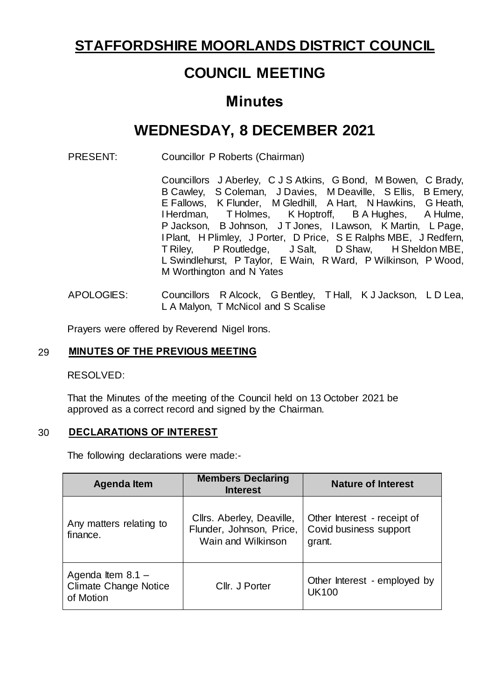## **STAFFORDSHIRE MOORLANDS DISTRICT COUNCIL**

# **COUNCIL MEETING**

## **Minutes**

# **WEDNESDAY, 8 DECEMBER 2021**

PRESENT: Councillor P Roberts (Chairman)

Councillors J Aberley, C J S Atkins, G Bond, M Bowen, C Brady, B Cawley, S Coleman, J Davies, M Deaville, S Ellis, B Emery, E Fallows, K Flunder, M Gledhill, A Hart, N Hawkins, G Heath, I Herdman, T Holmes, K Hoptroff, B A Hughes, A Hulme, I Herdman, T Holmes, P Jackson, B Johnson, J T Jones, I Lawson, K Martin, L Page, IPlant, H Plimley, J Porter, D Price, S E Ralphs MBE, J Redfern, T Riley, P Routledge, J Salt, D Shaw, H Sheldon MBE, L Swindlehurst, P Taylor, E Wain, R Ward, P Wilkinson, P Wood, M Worthington and N Yates

APOLOGIES: Councillors R Alcock, G Bentley, T Hall, K J Jackson, L D Lea, L A Malyon, T McNicol and S Scalise

Prayers were offered by Reverend Nigel Irons.

#### 29 **MINUTES OF THE PREVIOUS MEETING**

RESOLVED:

That the Minutes of the meeting of the Council held on 13 October 2021 be approved as a correct record and signed by the Chairman.

#### 30 **DECLARATIONS OF INTEREST**

The following declarations were made:-

| <b>Agenda Item</b>                                               | <b>Members Declaring</b><br><b>Interest</b>                                 | <b>Nature of Interest</b>                                       |
|------------------------------------------------------------------|-----------------------------------------------------------------------------|-----------------------------------------------------------------|
| Any matters relating to<br>finance.                              | Cllrs. Aberley, Deaville,<br>Flunder, Johnson, Price,<br>Wain and Wilkinson | Other Interest - receipt of<br>Covid business support<br>grant. |
| Agenda Item $8.1 -$<br><b>Climate Change Notice</b><br>of Motion | Cllr. J Porter                                                              | Other Interest - employed by<br><b>UK100</b>                    |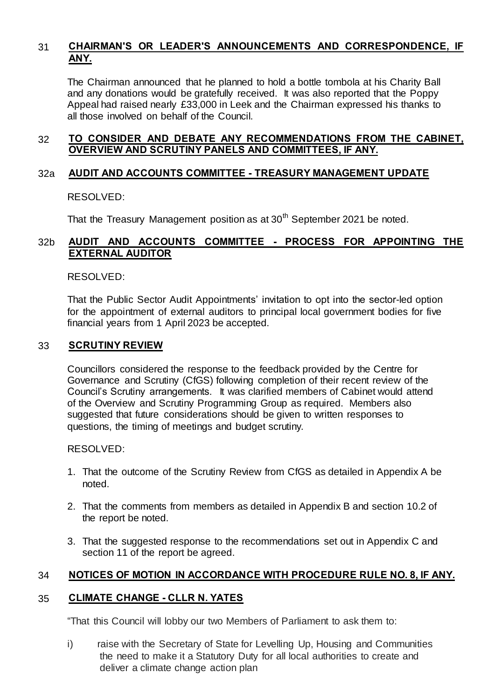## 31 **CHAIRMAN'S OR LEADER'S ANNOUNCEMENTS AND CORRESPONDENCE, IF ANY.**

The Chairman announced that he planned to hold a bottle tombola at his Charity Ball and any donations would be gratefully received. It was also reported that the Poppy Appeal had raised nearly £33,000 in Leek and the Chairman expressed his thanks to all those involved on behalf of the Council.

## 32 **TO CONSIDER AND DEBATE ANY RECOMMENDATIONS FROM THE CABINET, OVERVIEW AND SCRUTINY PANELS AND COMMITTEES, IF ANY.**

## 32a **AUDIT AND ACCOUNTS COMMITTEE - TREASURY MANAGEMENT UPDATE**

RESOLVED:

That the Treasury Management position as at  $30<sup>th</sup>$  September 2021 be noted.

## 32b **AUDIT AND ACCOUNTS COMMITTEE - PROCESS FOR APPOINTING THE EXTERNAL AUDITOR**

RESOLVED:

That the Public Sector Audit Appointments' invitation to opt into the sector-led option for the appointment of external auditors to principal local government bodies for five financial years from 1 April 2023 be accepted.

#### 33 **SCRUTINY REVIEW**

Councillors considered the response to the feedback provided by the Centre for Governance and Scrutiny (CfGS) following completion of their recent review of the Council's Scrutiny arrangements. It was clarified members of Cabinet would attend of the Overview and Scrutiny Programming Group as required. Members also suggested that future considerations should be given to written responses to questions, the timing of meetings and budget scrutiny.

RESOLVED:

- 1. That the outcome of the Scrutiny Review from CfGS as detailed in Appendix A be noted.
- 2. That the comments from members as detailed in Appendix B and section 10.2 of the report be noted.
- 3. That the suggested response to the recommendations set out in Appendix C and section 11 of the report be agreed.

## 34 **NOTICES OF MOTION IN ACCORDANCE WITH PROCEDURE RULE NO. 8, IF ANY.**

## 35 **CLIMATE CHANGE - CLLR N. YATES**

"That this Council will lobby our two Members of Parliament to ask them to:

i) raise with the Secretary of State for Levelling Up, Housing and Communities the need to make it a Statutory Duty for all local authorities to create and deliver a climate change action plan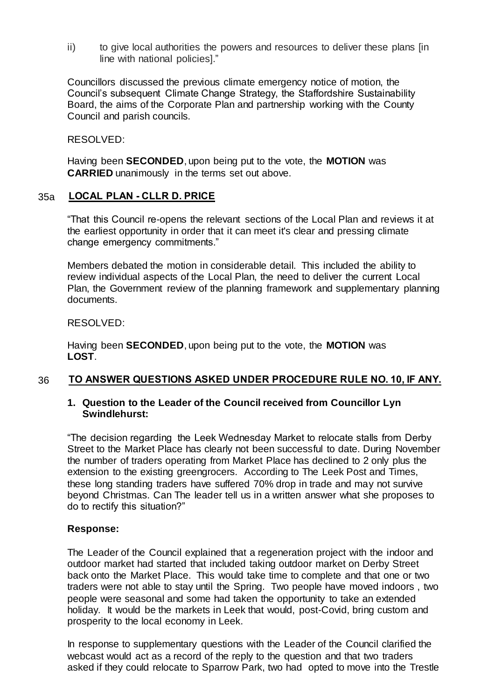ii) to give local authorities the powers and resources to deliver these plans [in line with national policies]."

Councillors discussed the previous climate emergency notice of motion, the Council's subsequent Climate Change Strategy, the Staffordshire Sustainability Board, the aims of the Corporate Plan and partnership working with the County Council and parish councils.

RESOLVED:

Having been **SECONDED**, upon being put to the vote, the **MOTION** was **CARRIED** unanimously in the terms set out above.

## 35a **LOCAL PLAN - CLLR D. PRICE**

"That this Council re-opens the relevant sections of the Local Plan and reviews it at the earliest opportunity in order that it can meet it's clear and pressing climate change emergency commitments."

Members debated the motion in considerable detail. This included the ability to review individual aspects of the Local Plan, the need to deliver the current Local Plan, the Government review of the planning framework and supplementary planning documents.

RESOLVED:

Having been **SECONDED**, upon being put to the vote, the **MOTION** was **LOST**.

## 36 **TO ANSWER QUESTIONS ASKED UNDER PROCEDURE RULE NO. 10, IF ANY.**

## **1. Question to the Leader of the Council received from Councillor Lyn Swindlehurst:**

"The decision regarding the Leek Wednesday Market to relocate stalls from Derby Street to the Market Place has clearly not been successful to date. During November the number of traders operating from Market Place has declined to 2 only plus the extension to the existing greengrocers. According to The Leek Post and Times, these long standing traders have suffered 70% drop in trade and may not survive beyond Christmas. Can The leader tell us in a written answer what she proposes to do to rectify this situation?"

## **Response:**

The Leader of the Council explained that a regeneration project with the indoor and outdoor market had started that included taking outdoor market on Derby Street back onto the Market Place. This would take time to complete and that one or two traders were not able to stay until the Spring. Two people have moved indoors , two people were seasonal and some had taken the opportunity to take an extended holiday. It would be the markets in Leek that would, post-Covid, bring custom and prosperity to the local economy in Leek.

In response to supplementary questions with the Leader of the Council clarified the webcast would act as a record of the reply to the question and that two traders asked if they could relocate to Sparrow Park, two had opted to move into the Trestle